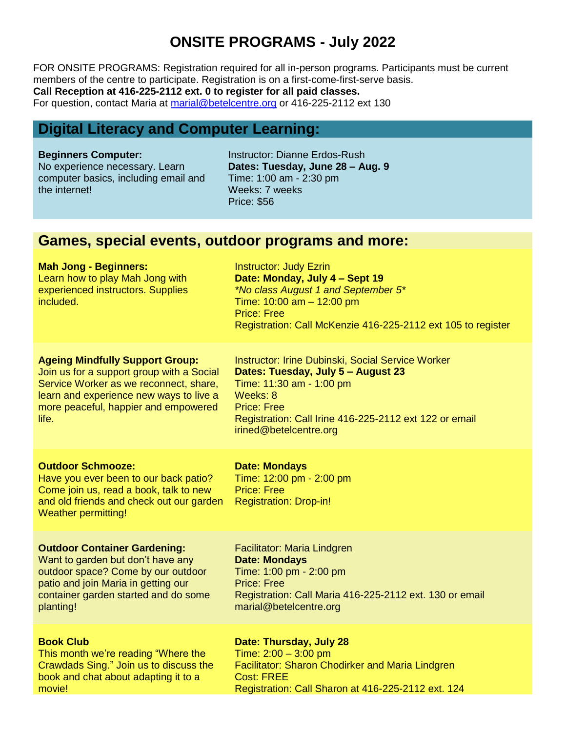## **ONSITE PROGRAMS - July 2022**

FOR ONSITE PROGRAMS: Registration required for all in-person programs. Participants must be current members of the centre to participate. Registration is on a first-come-first-serve basis. **Call Reception at 416-225-2112 ext. 0 to register for all paid classes.**  For question, contact Maria at [marial@betelcentre.org](mailto:marial@betelcentre.org) or 416-225-2112 ext 130

## **Digital Literacy and Computer Learning:**

#### **Beginners Computer:**

No experience necessary. Learn computer basics, including email and the internet!

Instructor: Dianne Erdos-Rush **Dates: Tuesday, June 28 – Aug. 9**  Time: 1:00 am - 2:30 pm Weeks: 7 weeks Price: \$56

## **Games, special events, outdoor programs and more:**

#### **Mah Jong - Beginners:**

Learn how to play Mah Jong with experienced instructors. Supplies included.

Instructor: Judy Ezrin **Date: Monday, July 4 – Sept 19** *\*No class August 1 and September 5\** Time: 10:00 am – 12:00 pm Price: Free Registration: Call McKenzie 416-225-2112 ext 105 to register

### **Ageing Mindfully Support Group:**

Join us for a support group with a Social Service Worker as we reconnect, share, learn and experience new ways to live a more peaceful, happier and empowered life.

Instructor: Irine Dubinski, Social Service Worker **Dates: Tuesday, July 5 – August 23** Time: 11:30 am - 1:00 pm Weeks: 8 Price: Free Registration: Call Irine 416-225-2112 ext 122 or email irined@betelcentre.org

#### **Outdoor Schmooze:**

Have you ever been to our back patio? Come join us, read a book, talk to new and old friends and check out our garden Weather permitting!

#### **Date: Mondays**

Time: 12:00 pm - 2:00 pm Price: Free Registration: Drop-in!

#### **Outdoor Container Gardening:**

Want to garden but don't have any outdoor space? Come by our outdoor patio and join Maria in getting our container garden started and do some planting!

#### **Book Club**

This month we're reading "Where the Crawdads Sing." Join us to discuss the book and chat about adapting it to a movie!

Facilitator: Maria Lindgren **Date: Mondays** Time: 1:00 pm - 2:00 pm Price: Free Registration: Call Maria 416-225-2112 ext. 130 or email marial@betelcentre.org

### **Date: Thursday, July 28**

Time: 2:00 – 3:00 pm Facilitator: Sharon Chodirker and Maria Lindgren Cost: FREE Registration: Call Sharon at 416-225-2112 ext. 124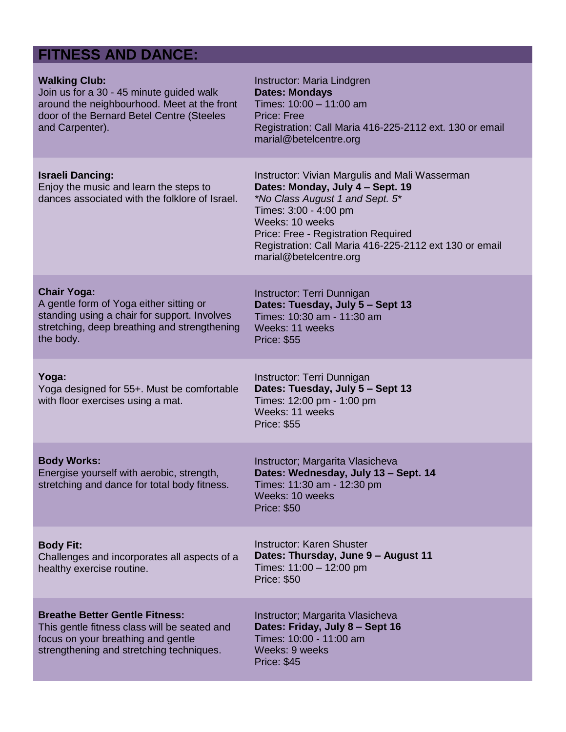# **FITNESS AND DANCE:**

| <b>Walking Club:</b><br>Join us for a 30 - 45 minute guided walk<br>around the neighbourhood. Meet at the front<br>door of the Bernard Betel Centre (Steeles<br>and Carpenter). | Instructor: Maria Lindgren<br><b>Dates: Mondays</b><br>Times: 10:00 - 11:00 am<br><b>Price: Free</b><br>Registration: Call Maria 416-225-2112 ext. 130 or email<br>marial@betelcentre.org                                                                                                    |
|---------------------------------------------------------------------------------------------------------------------------------------------------------------------------------|----------------------------------------------------------------------------------------------------------------------------------------------------------------------------------------------------------------------------------------------------------------------------------------------|
| <b>Israeli Dancing:</b><br>Enjoy the music and learn the steps to<br>dances associated with the folklore of Israel.                                                             | Instructor: Vivian Margulis and Mali Wasserman<br>Dates: Monday, July 4 - Sept. 19<br>*No Class August 1 and Sept. 5*<br>Times: 3:00 - 4:00 pm<br>Weeks: 10 weeks<br>Price: Free - Registration Required<br>Registration: Call Maria 416-225-2112 ext 130 or email<br>marial@betelcentre.org |
| <b>Chair Yoga:</b><br>A gentle form of Yoga either sitting or<br>standing using a chair for support. Involves<br>stretching, deep breathing and strengthening<br>the body.      | Instructor: Terri Dunnigan<br>Dates: Tuesday, July 5 - Sept 13<br>Times: 10:30 am - 11:30 am<br>Weeks: 11 weeks<br><b>Price: \$55</b>                                                                                                                                                        |
| Yoga:<br>Yoga designed for 55+. Must be comfortable<br>with floor exercises using a mat.                                                                                        | Instructor: Terri Dunnigan<br>Dates: Tuesday, July 5 - Sept 13<br>Times: 12:00 pm - 1:00 pm<br>Weeks: 11 weeks<br><b>Price: \$55</b>                                                                                                                                                         |
| <b>Body Works:</b><br>Energise yourself with aerobic, strength,<br>stretching and dance for total body fitness.                                                                 | Instructor; Margarita Vlasicheva<br>Dates: Wednesday, July 13 - Sept. 14<br>Times: 11:30 am - 12:30 pm<br>Weeks: 10 weeks<br><b>Price: \$50</b>                                                                                                                                              |
| <b>Body Fit:</b><br>Challenges and incorporates all aspects of a<br>healthy exercise routine.                                                                                   | <b>Instructor: Karen Shuster</b><br>Dates: Thursday, June 9 - August 11<br>Times: 11:00 - 12:00 pm<br><b>Price: \$50</b>                                                                                                                                                                     |
| <b>Breathe Better Gentle Fitness:</b><br>This gentle fitness class will be seated and<br>focus on your breathing and gentle<br>strengthening and stretching techniques.         | Instructor; Margarita Vlasicheva<br>Dates: Friday, July 8 - Sept 16<br>Times: 10:00 - 11:00 am<br>Weeks: 9 weeks<br><b>Price: \$45</b>                                                                                                                                                       |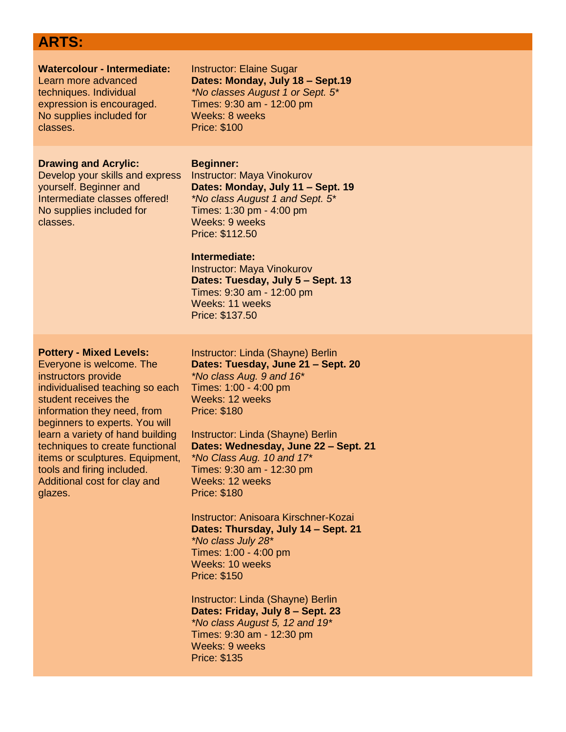## **ARTS:**

| <b>Watercolour - Intermediate:</b>                                                                                                                                | <b>Instructor: Elaine Sugar</b>                                                                                                                                                                                                                                                                                                                              |
|-------------------------------------------------------------------------------------------------------------------------------------------------------------------|--------------------------------------------------------------------------------------------------------------------------------------------------------------------------------------------------------------------------------------------------------------------------------------------------------------------------------------------------------------|
| Learn more advanced                                                                                                                                               | Dates: Monday, July 18 - Sept.19                                                                                                                                                                                                                                                                                                                             |
| techniques. Individual                                                                                                                                            | *No classes August 1 or Sept. 5*                                                                                                                                                                                                                                                                                                                             |
| expression is encouraged.                                                                                                                                         | Times: 9:30 am - 12:00 pm                                                                                                                                                                                                                                                                                                                                    |
| No supplies included for                                                                                                                                          | Weeks: 8 weeks                                                                                                                                                                                                                                                                                                                                               |
| classes.                                                                                                                                                          | <b>Price: \$100</b>                                                                                                                                                                                                                                                                                                                                          |
| <b>Drawing and Acrylic:</b><br>Develop your skills and express<br>yourself. Beginner and<br>Intermediate classes offered!<br>No supplies included for<br>classes. | <b>Beginner:</b><br><b>Instructor: Maya Vinokurov</b><br>Dates: Monday, July 11 - Sept. 19<br>*No class August 1 and Sept. 5*<br>Times: 1:30 pm - 4:00 pm<br>Weeks: 9 weeks<br>Price: \$112.50<br>Intermediate:<br><b>Instructor: Maya Vinokurov</b><br>Dates: Tuesday, July 5 - Sept. 13<br>Times: 9:30 am - 12:00 pm<br>Weeks: 11 weeks<br>Price: \$137.50 |
| <b>Pottery - Mixed Levels:</b>                                                                                                                                    | Instructor: Linda (Shayne) Berlin                                                                                                                                                                                                                                                                                                                            |
| Everyone is welcome. The                                                                                                                                          | Dates: Tuesday, June 21 - Sept. 20                                                                                                                                                                                                                                                                                                                           |
| الموالد المتحدث والمتحدث والمتحدث والمتحدث والمتحدث                                                                                                               | $*$ M <sub>is</sub> $-$ lese Assoc $\Omega$ and $\Lambda$                                                                                                                                                                                                                                                                                                    |

instructors provide individualised teaching so each student receives the information they need, from beginners to experts. You will learn a variety of hand building techniques to create functional items or sculptures. Equipment, tools and firing included. Additional cost for clay and glazes.

*\*No class Aug. 9 and 16\** Times: 1:00 - 4:00 pm Weeks: 12 weeks Price: \$180

Instructor: Linda (Shayne) Berlin **Dates: Wednesday, June 22 – Sept. 21** *\*No Class Aug. 10 and 17\** Times: 9:30 am - 12:30 pm Weeks: 12 weeks Price: \$180

Instructor: Anisoara Kirschner-Kozai **Dates: Thursday, July 14 – Sept. 21** *\*No class July 28\** Times: 1:00 - 4:00 pm Weeks: 10 weeks Price: \$150

Instructor: Linda (Shayne) Berlin **Dates: Friday, July 8 – Sept. 23** *\*No class August 5, 12 and 19\** Times: 9:30 am - 12:30 pm Weeks: 9 weeks Price: \$135